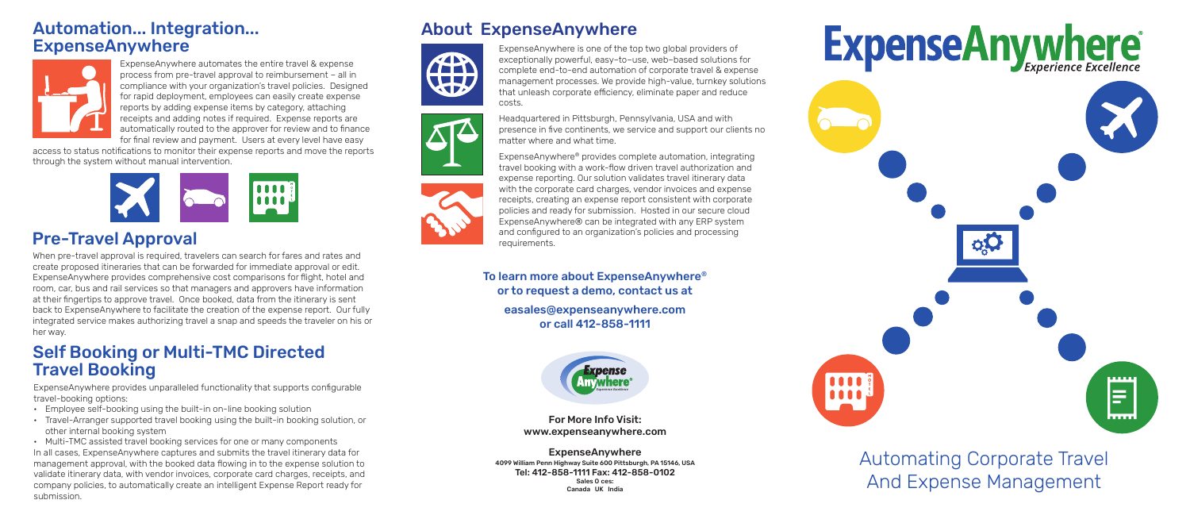Automating Corporate Travel And Expense Management

## Automation... Integration... **ExpenseAnywhere**



ExpenseAnywhere automates the entire travel & expense process from pre-travel approval to reimbursement – all in compliance with your organization's travel policies. Designed for rapid deployment, employees can easily create expense reports by adding expense items by category, attaching receipts and adding notes if required. Expense reports are automatically routed to the approver for review and to finance for final review and payment. Users at every level have easy

access to status notifications to monitor their expense reports and move the reports through the system without manual intervention.



When pre-travel approval is required, travelers can search for fares and rates and create proposed itineraries that can be forwarded for immediate approval or edit. ExpenseAnywhere provides comprehensive cost comparisons for flight, hotel and room, car, bus and rail services so that managers and approvers have information at their fingertips to approve travel. Once booked, data from the itinerary is sent back to ExpenseAnywhere to facilitate the creation of the expense report. Our fully integrated service makes authorizing travel a snap and speeds the traveler on his or her way.

# Pre-Travel Approval

ExpenseAnywhere is one of the top two global providers of exceptionally powerful, easy–to–use, web–based solutions for complete end-to-end automation of corporate travel & expense management processes. We provide high-value, turnkey solutions that unleash corporate efficiency, eliminate paper and reduce

# **ExpenseAnywhere**





Headquartered in Pittsburgh, Pennsylvania, USA and with presence in five continents, we service and support our clients no matter where and what time.

ExpenseAnywhere® provides complete automation, integrating travel booking with a work-flow driven travel authorization and expense reporting. Our solution validates travel itinerary data with the corporate card charges, vendor invoices and expense receipts, creating an expense report consistent with corporate policies and ready for submission. Hosted in our secure cloud ExpenseAnywhere® can be integrated with any ERP system and configured to an organization's policies and processing requirements.

# About ExpenseAnywhere





For More Info Visit: www.expenseanywhere.com

ExpenseAnywhere 4099 William Penn Highway Suite 600 Pittsburgh, PA 15146, USA Tel: 412-858-1111 Fax: 412-858-0102 Sales 0 ces: Canada UK India

# Self Booking or Multi-TMC Directed Travel Booking

ExpenseAnywhere provides unparalleled functionality that supports configurable travel-booking options:

- Employee self-booking using the built-in on-line booking solution
- Travel-Arranger supported travel booking using the built-in booking solution, or other internal booking system

• Multi-TMC assisted travel booking services for one or many components In all cases, ExpenseAnywhere captures and submits the travel itinerary data for management approval, with the booked data flowing in to the expense solution to validate itinerary data, with vendor invoices, corporate card charges, receipts, and company policies, to automatically create an intelligent Expense Report ready for submission.



To learn more about ExpenseAnywhere® or to request a demo, contact us at

easales@expenseanywhere.com or call 412-858-1111